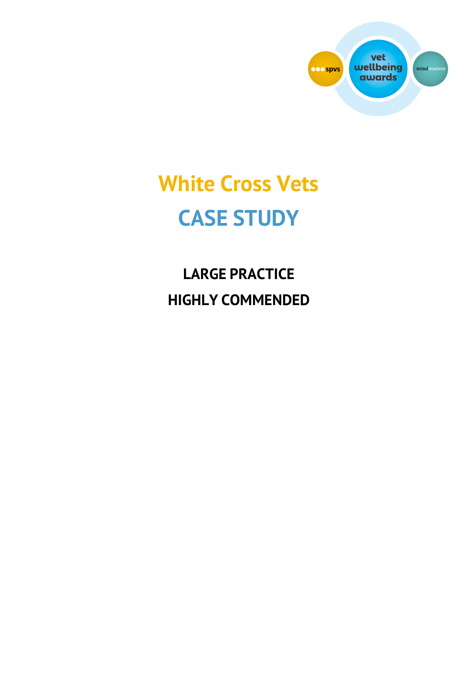

# **White Cross Vets CASE STUDY**

**LARGE PRACTICE HIGHLY COMMENDED**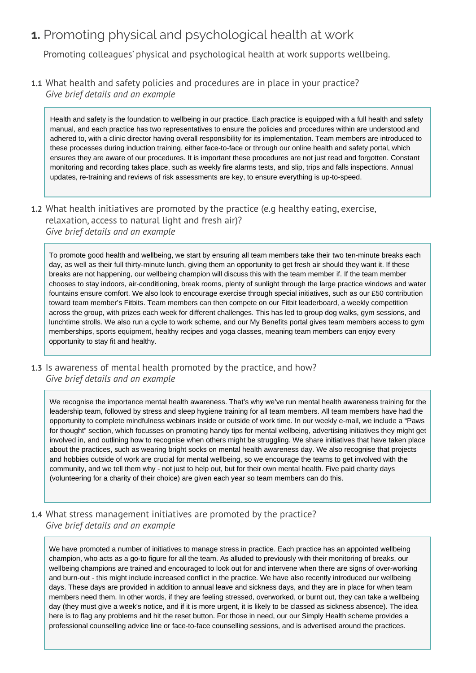# **1.** Promoting physical and psychological health at work

Promoting colleagues' physical and psychological health at work supports wellbeing.

**1.1** What health and safety policies and procedures are in place in your practice? *Give brief details and an example* 

Health and safety is the foundation to wellbeing in our practice. Each practice is equipped with a full health and safety manual, and each practice has two representatives to ensure the policies and procedures within are understood and adhered to, with a clinic director having overall responsibility for its implementation. Team members are introduced to these processes during induction training, either face-to-face or through our online health and safety portal, which ensures they are aware of our procedures. It is important these procedures are not just read and forgotten. Constant monitoring and recording takes place, such as weekly fire alarms tests, and slip, trips and falls inspections. Annual updates, re-training and reviews of risk assessments are key, to ensure everything is up-to-speed.

**1.2** What health initiatives are promoted by the practice (e.g healthy eating, exercise, relaxation, access to natural light and fresh air)? *Give brief details and an example* 

To promote good health and wellbeing, we start by ensuring all team members take their two ten-minute breaks each day, as well as their full thirty-minute lunch, giving them an opportunity to get fresh air should they want it. If these breaks are not happening, our wellbeing champion will discuss this with the team member if. If the team member chooses to stay indoors, air-conditioning, break rooms, plenty of sunlight through the large practice windows and water fountains ensure comfort. We also look to encourage exercise through special initiatives, such as our £50 contribution toward team member's Fitbits. Team members can then compete on our Fitbit leaderboard, a weekly competition across the group, with prizes each week for different challenges. This has led to group dog walks, gym sessions, and lunchtime strolls. We also run a cycle to work scheme, and our My Benefits portal gives team members access to gym memberships, sports equipment, healthy recipes and yoga classes, meaning team members can enjoy every opportunity to stay fit and healthy.

**1.3** Is awareness of mental health promoted by the practice, and how? *Give brief details and an example* 

We recognise the importance mental health awareness. That's why we've run mental health awareness training for the leadership team, followed by stress and sleep hygiene training for all team members. All team members have had the opportunity to complete mindfulness webinars inside or outside of work time. In our weekly e-mail, we include a "Paws for thought" section, which focusses on promoting handy tips for mental wellbeing, advertising initiatives they might get involved in, and outlining how to recognise when others might be struggling. We share initiatives that have taken place about the practices, such as wearing bright socks on mental health awareness day. We also recognise that projects and hobbies outside of work are crucial for mental wellbeing, so we encourage the teams to get involved with the community, and we tell them why - not just to help out, but for their own mental health. Five paid charity days (volunteering for a charity of their choice) are given each year so team members can do this.

**1.4** What stress management initiatives are promoted by the practice? *Give brief details and an example* 

We have promoted a number of initiatives to manage stress in practice. Each practice has an appointed wellbeing champion, who acts as a go-to figure for all the team. As alluded to previously with their monitoring of breaks, our wellbeing champions are trained and encouraged to look out for and intervene when there are signs of over-working and burn-out - this might include increased conflict in the practice. We have also recently introduced our wellbeing days. These days are provided in addition to annual leave and sickness days, and they are in place for when team members need them. In other words, if they are feeling stressed, overworked, or burnt out, they can take a wellbeing day (they must give a week's notice, and if it is more urgent, it is likely to be classed as sickness absence). The idea here is to flag any problems and hit the reset button. For those in need, our our Simply Health scheme provides a professional counselling advice line or face-to-face counselling sessions, and is advertised around the practices.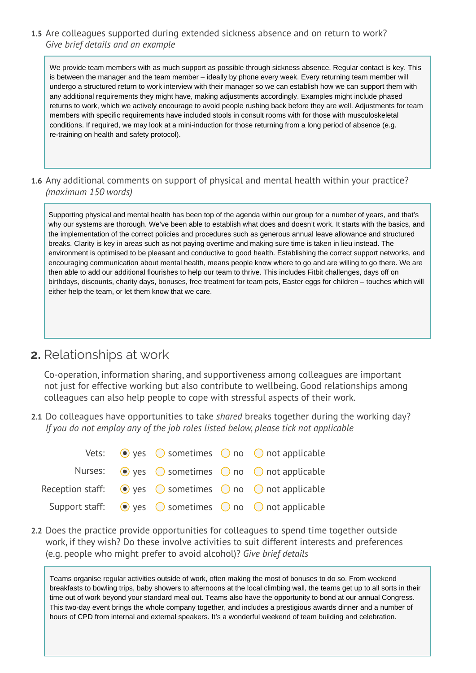#### **1.5** Are colleagues supported during extended sickness absence and on return to work? *Give brief details and an example*

We provide team members with as much support as possible through sickness absence. Regular contact is key. This is between the manager and the team member – ideally by phone every week. Every returning team member will undergo a structured return to work interview with their manager so we can establish how we can support them with any additional requirements they might have, making adjustments accordingly. Examples might include phased returns to work, which we actively encourage to avoid people rushing back before they are well. Adjustments for team members with specific requirements have included stools in consult rooms with for those with musculoskeletal conditions. If required, we may look at a mini-induction for those returning from a long period of absence (e.g. re-training on health and safety protocol).

**1.6** Any additional comments on support of physical and mental health within your practice? *(maximum 150 words)* 

Supporting physical and mental health has been top of the agenda within our group for a number of years, and that's why our systems are thorough. We've been able to establish what does and doesn't work. It starts with the basics, and the implementation of the correct policies and procedures such as generous annual leave allowance and structured breaks. Clarity is key in areas such as not paying overtime and making sure time is taken in lieu instead. The environment is optimised to be pleasant and conductive to good health. Establishing the correct support networks, and encouraging communication about mental health, means people know where to go and are willing to go there. We are then able to add our additional flourishes to help our team to thrive. This includes Fitbit challenges, days off on birthdays, discounts, charity days, bonuses, free treatment for team pets, Easter eggs for children – touches which will either help the team, or let them know that we care.

### **2.** Relationships at work

Co-operation, information sharing, and supportiveness among colleagues are important not just for effective working but also contribute to wellbeing. Good relationships among colleagues can also help people to cope with stressful aspects of their work.

**2.1** Do colleagues have opportunities to take *shared* breaks together during the working day? *If you do not employ any of the job roles listed below, please tick not applicable* 

|  |  | Vets: $\bullet$ yes $\circ$ sometimes $\circ$ no $\circ$ not applicable                      |
|--|--|----------------------------------------------------------------------------------------------|
|  |  | Nurses: $\odot$ yes $\odot$ sometimes $\odot$ no $\odot$ not applicable                      |
|  |  | Reception staff: $\bigcirc$ yes $\bigcirc$ sometimes $\bigcirc$ no $\bigcirc$ not applicable |
|  |  | Support staff: $\bigcirc$ yes $\bigcirc$ sometimes $\bigcirc$ no $\bigcirc$ not applicable   |

**2.2** Does the practice provide opportunities for colleagues to spend time together outside work, if they wish? Do these involve activities to suit different interests and preferences (e.g. people who might prefer to avoid alcohol)? *Give brief details*

Teams organise regular activities outside of work, often making the most of bonuses to do so. From weekend breakfasts to bowling trips, baby showers to afternoons at the local climbing wall, the teams get up to all sorts in their time out of work beyond your standard meal out. Teams also have the opportunity to bond at our annual Congress. This two-day event brings the whole company together, and includes a prestigious awards dinner and a number of hours of CPD from internal and external speakers. It's a wonderful weekend of team building and celebration.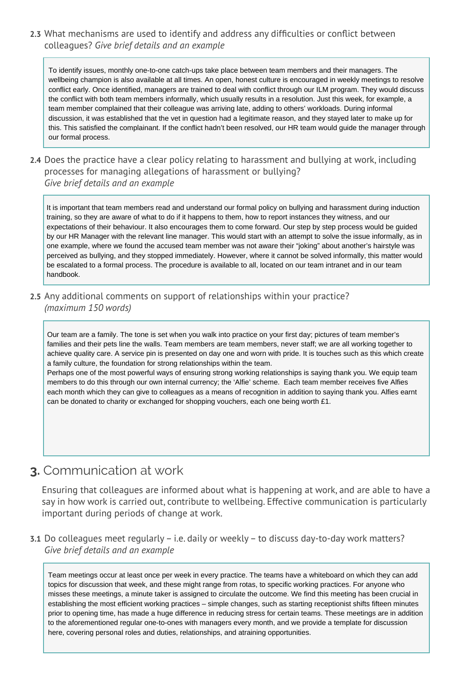**2.3** What mechanisms are used to identify and address any difficulties or conflict between colleagues? *Give brief details and an example* 

To identify issues, monthly one-to-one catch-ups take place between team members and their managers. The wellbeing champion is also available at all times. An open, honest culture is encouraged in weekly meetings to resolve conflict early. Once identified, managers are trained to deal with conflict through our ILM program. They would discuss the conflict with both team members informally, which usually results in a resolution. Just this week, for example, a team member complained that their colleague was arriving late, adding to others' workloads. During informal discussion, it was established that the vet in question had a legitimate reason, and they stayed later to make up for this. This satisfied the complainant. If the conflict hadn't been resolved, our HR team would guide the manager through our formal process.

#### **2.4** Does the practice have a clear policy relating to harassment and bullying at work, including processes for managing allegations of harassment or bullying? *Give brief details and an example*

It is important that team members read and understand our formal policy on bullying and harassment during induction training, so they are aware of what to do if it happens to them, how to report instances they witness, and our expectations of their behaviour. It also encourages them to come forward. Our step by step process would be guided by our HR Manager with the relevant line manager. This would start with an attempt to solve the issue informally, as in one example, where we found the accused team member was not aware their "joking" about another's hairstyle was perceived as bullying, and they stopped immediately. However, where it cannot be solved informally, this matter would be escalated to a formal process. The procedure is available to all, located on our team intranet and in our team handbook.

**2.5** Any additional comments on support of relationships within your practice? *(maximum 150 words)*

Our team are a family. The tone is set when you walk into practice on your first day; pictures of team member's families and their pets line the walls. Team members are team members, never staff; we are all working together to achieve quality care. A service pin is presented on day one and worn with pride. It is touches such as this which create a family culture, the foundation for strong relationships within the team.

Perhaps one of the most powerful ways of ensuring strong working relationships is saying thank you. We equip team members to do this through our own internal currency; the 'Alfie' scheme. Each team member receives five Alfies each month which they can give to colleagues as a means of recognition in addition to saying thank you. Alfies earnt can be donated to charity or exchanged for shopping vouchers, each one being worth £1.

# **3.** Communication at work

Ensuring that colleagues are informed about what is happening at work, and are able to have a say in how work is carried out, contribute to wellbeing. Effective communication is particularly important during periods of change at work.

**3.1** Do colleagues meet regularly – i.e. daily or weekly – to discuss day-to-day work matters? *Give brief details and an example* 

Team meetings occur at least once per week in every practice. The teams have a whiteboard on which they can add topics for discussion that week, and these might range from rotas, to specific working practices. For anyone who misses these meetings, a minute taker is assigned to circulate the outcome. We find this meeting has been crucial in establishing the most efficient working practices – simple changes, such as starting receptionist shifts fifteen minutes prior to opening time, has made a huge difference in reducing stress for certain teams. These meetings are in addition to the aforementioned regular one-to-ones with managers every month, and we provide a template for discussion here, covering personal roles and duties, relationships, and atraining opportunities.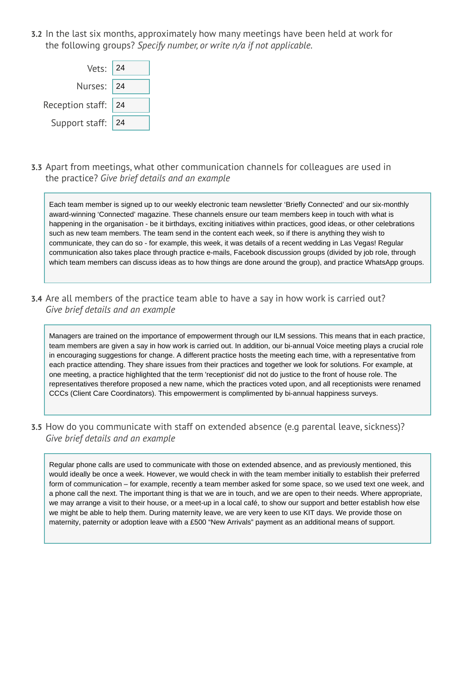**3.2** In the last six months, approximately how many meetings have been held at work for the following groups? *Specify number, or write n/a if not applicable.*



**3.3** Apart from meetings, what other communication channels for colleagues are used in the practice? *Give brief details and an example* 

Each team member is signed up to our weekly electronic team newsletter 'Briefly Connected' and our six-monthly award-winning 'Connected' magazine. These channels ensure our team members keep in touch with what is happening in the organisation - be it birthdays, exciting initiatives within practices, good ideas, or other celebrations such as new team members. The team send in the content each week, so if there is anything they wish to communicate, they can do so - for example, this week, it was details of a recent wedding in Las Vegas! Regular communication also takes place through practice e-mails, Facebook discussion groups (divided by job role, through which team members can discuss ideas as to how things are done around the group), and practice WhatsApp groups.

**3.4** Are all members of the practice team able to have a say in how work is carried out? *Give brief details and an example* 

Managers are trained on the importance of empowerment through our ILM sessions. This means that in each practice, team members are given a say in how work is carried out. In addition, our bi-annual Voice meeting plays a crucial role in encouraging suggestions for change. A different practice hosts the meeting each time, with a representative from each practice attending. They share issues from their practices and together we look for solutions. For example, at one meeting, a practice highlighted that the term 'receptionist' did not do justice to the front of house role. The representatives therefore proposed a new name, which the practices voted upon, and all receptionists were renamed CCCs (Client Care Coordinators). This empowerment is complimented by bi-annual happiness surveys.

**3.5** How do you communicate with staff on extended absence (e.g parental leave, sickness)? *Give brief details and an example* 

Regular phone calls are used to communicate with those on extended absence, and as previously mentioned, this would ideally be once a week. However, we would check in with the team member initially to establish their preferred form of communication – for example, recently a team member asked for some space, so we used text one week, and a phone call the next. The important thing is that we are in touch, and we are open to their needs. Where appropriate, we may arrange a visit to their house, or a meet-up in a local café, to show our support and better establish how else we might be able to help them. During maternity leave, we are very keen to use KIT days. We provide those on maternity, paternity or adoption leave with a £500 "New Arrivals" payment as an additional means of support.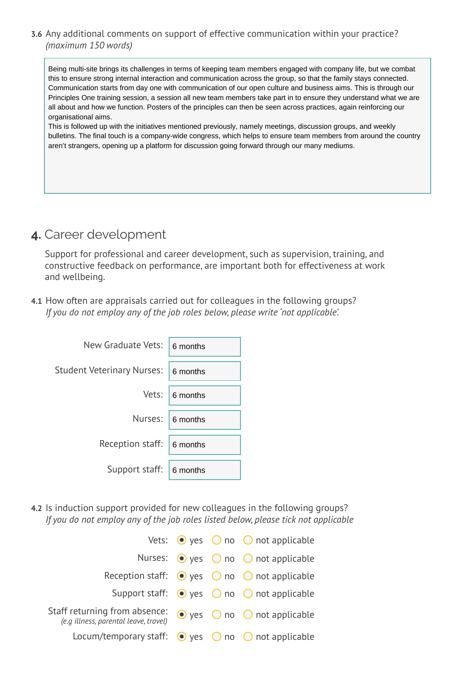#### **3.6** Any additional comments on support of effective communication within your practice? *(maximum 150 words)*

Being multi-site brings its challenges in terms of keeping team members engaged with company life, but we combat this to ensure strong internal interaction and communication across the group, so that the family stays connected. Communication starts from day one with communication of our open culture and business aims. This is through our Principles One training session, a session all new team members take part in to ensure they understand what we are all about and how we function. Posters of the principles can then be seen across practices, again reinforcing our organisational aims.

This is followed up with the initiatives mentioned previously, namely meetings, discussion groups, and weekly bulletins. The final touch is a company-wide congress, which helps to ensure team members from around the country aren't strangers, opening up a platform for discussion going forward through our many mediums.

# **4.** Career development

Support for professional and career development, such as supervision, training, and constructive feedback on performance, are important both for effectiveness at work and wellbeing.

**4.1** How often are appraisals carried out for colleagues in the following groups? *If you do not employ any of the job roles below, please write 'not applicable'.*

| New Graduate Vets:         | 6 months |
|----------------------------|----------|
| Student Veterinary Nurses: | 6 months |
| Vets:                      | 6 months |
| Nurses:                    | 6 months |
| Reception staff:           | 6 months |
| Support staff:             | 6 months |

**4.2** Is induction support provided for new colleagues in the following groups? *If you do not employ any of the job roles listed below, please tick not applicable* 

|                                                                        |  | Vets: $\bullet$ yes $\circ$ no $\circ$ not applicable            |
|------------------------------------------------------------------------|--|------------------------------------------------------------------|
|                                                                        |  | Nurses: $\odot$ yes $\odot$ no $\odot$ not applicable            |
|                                                                        |  | Reception staff: $\bullet$ yes $\circ$ no $\circ$ not applicable |
|                                                                        |  | Support staff: $\bullet$ yes $\circ$ no $\circ$ not applicable   |
| Staff returning from absence:<br>(e.g illness, parental leave, travel) |  | $\bullet$ yes $\circledcirc$ no $\circledcirc$ not applicable    |
| Locum/temporary staff: $\bullet$ yes $\circ$ no $\circ$ not applicable |  |                                                                  |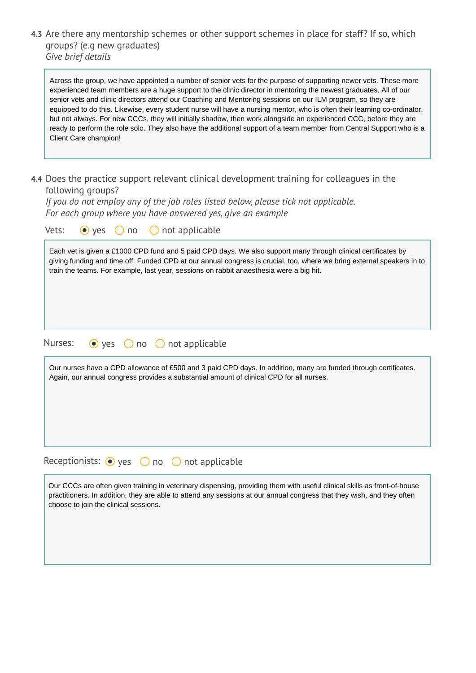**4.3** Are there any mentorship schemes or other support schemes in place for staff? If so, which groups? (e.g new graduates) *Give brief details*

Across the group, we have appointed a number of senior vets for the purpose of supporting newer vets. These more experienced team members are a huge support to the clinic director in mentoring the newest graduates. All of our senior vets and clinic directors attend our Coaching and Mentoring sessions on our ILM program, so they are equipped to do this. Likewise, every student nurse will have a nursing mentor, who is often their learning co-ordinator, but not always. For new CCCs, they will initially shadow, then work alongside an experienced CCC, before they are ready to perform the role solo. They also have the additional support of a team member from Central Support who is a Client Care champion!

**4.4** Does the practice support relevant clinical development training for colleagues in the following groups?

*If you do not employ any of the job roles listed below, please tick not applicable. For each group where you have answered yes, give an example* 

| Vets:<br>not applicable<br>$\bullet$ yes<br>$\bigcirc$<br>no<br>$(\ )$                                                                                                                                                                                                                                                             |
|------------------------------------------------------------------------------------------------------------------------------------------------------------------------------------------------------------------------------------------------------------------------------------------------------------------------------------|
| Each vet is given a £1000 CPD fund and 5 paid CPD days. We also support many through clinical certificates by<br>giving funding and time off. Funded CPD at our annual congress is crucial, too, where we bring external speakers in to<br>train the teams. For example, last year, sessions on rabbit anaesthesia were a big hit. |
| Nurses:<br>$\bullet$ yes $\circ$ no $\circ$ not applicable                                                                                                                                                                                                                                                                         |
| Our nurses have a CPD allowance of £500 and 3 paid CPD days. In addition, many are funded through certificates.<br>Again, our annual congress provides a substantial amount of clinical CPD for all nurses.                                                                                                                        |
| Receptionists: $\odot$ yes $\odot$ no $\odot$ not applicable                                                                                                                                                                                                                                                                       |
| Our CCCs are often given training in veterinary dispensing, providing them with useful clinical skills as front-of-house<br>practitioners. In addition, they are able to attend any sessions at our annual congress that they wish, and they often<br>choose to join the clinical sessions.                                        |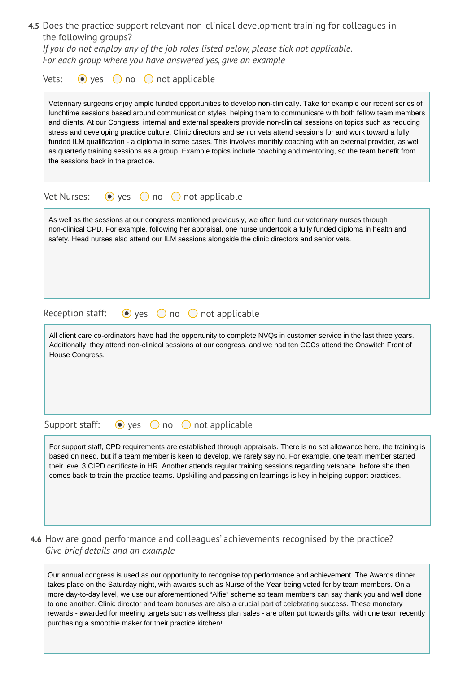| 4.5 Does the practice support relevant non-clinical development training for colleagues in |  |
|--------------------------------------------------------------------------------------------|--|
| the following groups?                                                                      |  |

*If you do not employ any of the job roles listed below, please tick not applicable. For each group where you have answered yes, give an example* 

| Vets:<br>$\bullet$ yes             | $\bigcirc$ not applicable<br>$\bigcirc$ no                                                                                                                                                                                                                                                                                                                                                                                                                                                                                                                                                                                                                                                                                               |
|------------------------------------|------------------------------------------------------------------------------------------------------------------------------------------------------------------------------------------------------------------------------------------------------------------------------------------------------------------------------------------------------------------------------------------------------------------------------------------------------------------------------------------------------------------------------------------------------------------------------------------------------------------------------------------------------------------------------------------------------------------------------------------|
| the sessions back in the practice. | Veterinary surgeons enjoy ample funded opportunities to develop non-clinically. Take for example our recent series of<br>lunchtime sessions based around communication styles, helping them to communicate with both fellow team members<br>and clients. At our Congress, internal and external speakers provide non-clinical sessions on topics such as reducing<br>stress and developing practice culture. Clinic directors and senior vets attend sessions for and work toward a fully<br>funded ILM qualification - a diploma in some cases. This involves monthly coaching with an external provider, as well<br>as quarterly training sessions as a group. Example topics include coaching and mentoring, so the team benefit from |
| Vet Nurses:                        | $\bigcirc$ no $\bigcirc$ not applicable<br>$\bullet$ yes                                                                                                                                                                                                                                                                                                                                                                                                                                                                                                                                                                                                                                                                                 |
|                                    | As well as the sessions at our congress mentioned previously, we often fund our veterinary nurses through<br>non-clinical CPD. For example, following her appraisal, one nurse undertook a fully funded diploma in health and<br>safety. Head nurses also attend our ILM sessions alongside the clinic directors and senior vets.                                                                                                                                                                                                                                                                                                                                                                                                        |
| Reception staff:                   | $\bullet$ yes<br>$\bigcirc$ not applicable<br>$\bigcirc$ no                                                                                                                                                                                                                                                                                                                                                                                                                                                                                                                                                                                                                                                                              |
| House Congress.                    | All client care co-ordinators have had the opportunity to complete NVQs in customer service in the last three years.<br>Additionally, they attend non-clinical sessions at our congress, and we had ten CCCs attend the Onswitch Front of                                                                                                                                                                                                                                                                                                                                                                                                                                                                                                |
| Support staff:                     | not applicable<br>$\bullet$ yes<br>no<br>$\left( \quad \right)$                                                                                                                                                                                                                                                                                                                                                                                                                                                                                                                                                                                                                                                                          |
|                                    | For support staff, CPD requirements are established through appraisals. There is no set allowance here, the training is<br>based on need, but if a team member is keen to develop, we rarely say no. For example, one team member started<br>their level 3 CIPD certificate in HR. Another attends regular training sessions regarding vetspace, before she then<br>comes back to train the practice teams. Upskilling and passing on learnings is key in helping support practices.                                                                                                                                                                                                                                                     |

**4.6** How are good performance and colleagues' achievements recognised by the practice? *Give brief details and an example* 

Our annual congress is used as our opportunity to recognise top performance and achievement. The Awards dinner takes place on the Saturday night, with awards such as Nurse of the Year being voted for by team members. On a more day-to-day level, we use our aforementioned "Alfie" scheme so team members can say thank you and well done to one another. Clinic director and team bonuses are also a crucial part of celebrating success. These monetary rewards - awarded for meeting targets such as wellness plan sales - are often put towards gifts, with one team recently purchasing a smoothie maker for their practice kitchen!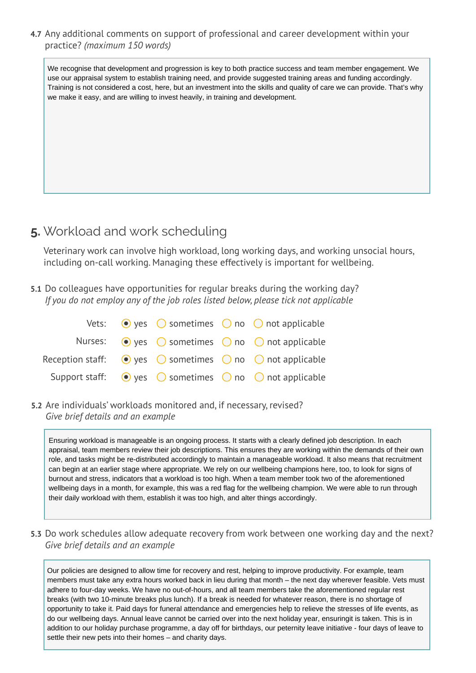**4.7** Any additional comments on support of professional and career development within your practice? *(maximum 150 words)*

We recognise that development and progression is key to both practice success and team member engagement. We use our appraisal system to establish training need, and provide suggested training areas and funding accordingly. Training is not considered a cost, here, but an investment into the skills and quality of care we can provide. That's why we make it easy, and are willing to invest heavily, in training and development.

# **5.** Workload and work scheduling

Veterinary work can involve high workload, long working days, and working unsocial hours, including on-call working. Managing these effectively is important for wellbeing.

**5.1** Do colleagues have opportunities for regular breaks during the working day? *If you do not employ any of the job roles listed below, please tick not applicable* 

|  |  | Vets: $\bullet$ yes $\circ$ sometimes $\circ$ no $\circ$ not applicable                      |
|--|--|----------------------------------------------------------------------------------------------|
|  |  | Nurses: $\odot$ yes $\odot$ sometimes $\odot$ no $\odot$ not applicable                      |
|  |  | Reception staff: $\bigcirc$ yes $\bigcirc$ sometimes $\bigcirc$ no $\bigcirc$ not applicable |
|  |  | Support staff: $\bigcirc$ yes $\bigcirc$ sometimes $\bigcirc$ no $\bigcirc$ not applicable   |

**5.2** Are individuals' workloads monitored and, if necessary, revised? *Give brief details and an example* 

Ensuring workload is manageable is an ongoing process. It starts with a clearly defined job description. In each appraisal, team members review their job descriptions. This ensures they are working within the demands of their own role, and tasks might be re-distributed accordingly to maintain a manageable workload. It also means that recruitment can begin at an earlier stage where appropriate. We rely on our wellbeing champions here, too, to look for signs of burnout and stress, indicators that a workload is too high. When a team member took two of the aforementioned wellbeing days in a month, for example, this was a red flag for the wellbeing champion. We were able to run through their daily workload with them, establish it was too high, and alter things accordingly.

**5.3** Do work schedules allow adequate recovery from work between one working day and the next? *Give brief details and an example* 

Our policies are designed to allow time for recovery and rest, helping to improve productivity. For example, team members must take any extra hours worked back in lieu during that month – the next day wherever feasible. Vets must adhere to four-day weeks. We have no out-of-hours, and all team members take the aforementioned regular rest breaks (with two 10-minute breaks plus lunch). If a break is needed for whatever reason, there is no shortage of opportunity to take it. Paid days for funeral attendance and emergencies help to relieve the stresses of life events, as do our wellbeing days. Annual leave cannot be carried over into the next holiday year, ensuringit is taken. This is in addition to our holiday purchase programme, a day off for birthdays, our peternity leave initiative - four days of leave to settle their new pets into their homes – and charity days.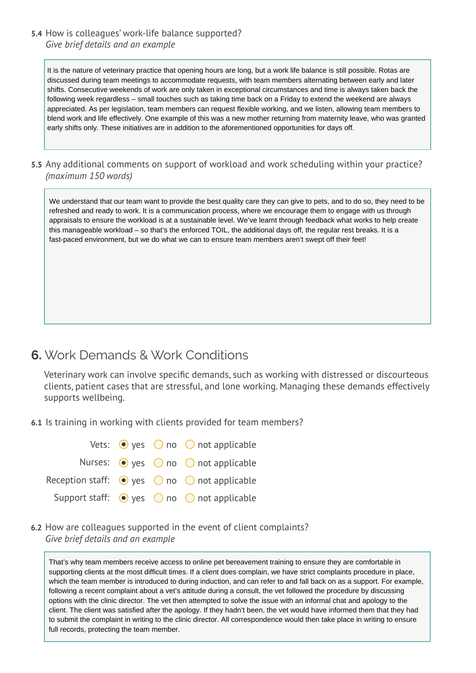#### **5.4** How is colleagues' work-life balance supported? *Give brief details and an example*

It is the nature of veterinary practice that opening hours are long, but a work life balance is still possible. Rotas are discussed during team meetings to accommodate requests, with team members alternating between early and later shifts. Consecutive weekends of work are only taken in exceptional circumstances and time is always taken back the following week regardless – small touches such as taking time back on a Friday to extend the weekend are always appreciated. As per legislation, team members can request flexible working, and we listen, allowing team members to blend work and life effectively. One example of this was a new mother returning from maternity leave, who was granted early shifts only. These initiatives are in addition to the aforementioned opportunities for days off.

**5.5** Any additional comments on support of workload and work scheduling within your practice? *(maximum 150 words)*

We understand that our team want to provide the best quality care they can give to pets, and to do so, they need to be refreshed and ready to work. It is a communication process, where we encourage them to engage with us through appraisals to ensure the workload is at a sustainable level. We've learnt through feedback what works to help create this manageable workload – so that's the enforced TOIL, the additional days off, the regular rest breaks. It is a fast-paced environment, but we do what we can to ensure team members aren't swept off their feet!

# **6.** Work Demands & Work Conditions

Veterinary work can involve specific demands, such as working with distressed or discourteous clients, patient cases that are stressful, and lone working. Managing these demands effectively supports wellbeing.

**6.1** Is training in working with clients provided for team members?

|  | Vets: $\bullet$ yes $\circ$ no $\circ$ not applicable                   |
|--|-------------------------------------------------------------------------|
|  | Nurses: $\odot$ yes $\odot$ no $\odot$ not applicable                   |
|  | Reception staff: $\bigcirc$ yes $\bigcirc$ no $\bigcirc$ not applicable |
|  | Support staff: $\bullet$ yes $\circ$ no $\circ$ not applicable          |

**6.2** How are colleagues supported in the event of client complaints? *Give brief details and an example* 

That's why team members receive access to online pet bereavement training to ensure they are comfortable in supporting clients at the most difficult times. If a client does complain, we have strict complaints procedure in place, which the team member is introduced to during induction, and can refer to and fall back on as a support. For example, following a recent complaint about a vet's attitude during a consult, the vet followed the procedure by discussing options with the clinic director. The vet then attempted to solve the issue with an informal chat and apology to the client. The client was satisfied after the apology. If they hadn't been, the vet would have informed them that they had to submit the complaint in writing to the clinic director. All correspondence would then take place in writing to ensure full records, protecting the team member.